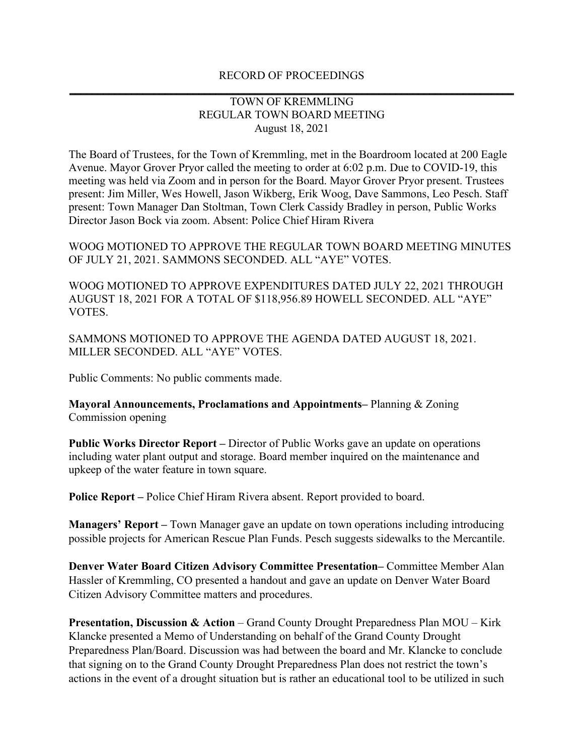## RECORD OF PROCEEDINGS **\_\_\_\_\_\_\_\_\_\_\_\_\_\_\_\_\_\_\_\_\_\_\_\_\_\_\_\_\_\_\_\_\_\_\_\_\_\_\_\_\_\_\_\_\_\_\_\_\_\_\_\_\_\_\_\_\_\_\_\_\_\_\_\_\_\_\_\_\_\_\_\_\_\_\_\_\_\_\_**

## TOWN OF KREMMLING REGULAR TOWN BOARD MEETING August 18, 2021

The Board of Trustees, for the Town of Kremmling, met in the Boardroom located at 200 Eagle Avenue. Mayor Grover Pryor called the meeting to order at 6:02 p.m. Due to COVID-19, this meeting was held via Zoom and in person for the Board. Mayor Grover Pryor present. Trustees present: Jim Miller, Wes Howell, Jason Wikberg, Erik Woog, Dave Sammons, Leo Pesch. Staff present: Town Manager Dan Stoltman, Town Clerk Cassidy Bradley in person, Public Works Director Jason Bock via zoom. Absent: Police Chief Hiram Rivera

WOOG MOTIONED TO APPROVE THE REGULAR TOWN BOARD MEETING MINUTES OF JULY 21, 2021. SAMMONS SECONDED. ALL "AYE" VOTES.

WOOG MOTIONED TO APPROVE EXPENDITURES DATED JULY 22, 2021 THROUGH AUGUST 18, 2021 FOR A TOTAL OF \$118,956.89 HOWELL SECONDED. ALL "AYE" VOTES.

SAMMONS MOTIONED TO APPROVE THE AGENDA DATED AUGUST 18, 2021. MILLER SECONDED. ALL "AYE" VOTES.

Public Comments: No public comments made.

**Mayoral Announcements, Proclamations and Appointments–** Planning & Zoning Commission opening

**Public Works Director Report –** Director of Public Works gave an update on operations including water plant output and storage. Board member inquired on the maintenance and upkeep of the water feature in town square.

**Police Report –** Police Chief Hiram Rivera absent. Report provided to board.

**Managers' Report –** Town Manager gave an update on town operations including introducing possible projects for American Rescue Plan Funds. Pesch suggests sidewalks to the Mercantile.

**Denver Water Board Citizen Advisory Committee Presentation–** Committee Member Alan Hassler of Kremmling, CO presented a handout and gave an update on Denver Water Board Citizen Advisory Committee matters and procedures.

**Presentation, Discussion & Action** – Grand County Drought Preparedness Plan MOU – Kirk Klancke presented a Memo of Understanding on behalf of the Grand County Drought Preparedness Plan/Board. Discussion was had between the board and Mr. Klancke to conclude that signing on to the Grand County Drought Preparedness Plan does not restrict the town's actions in the event of a drought situation but is rather an educational tool to be utilized in such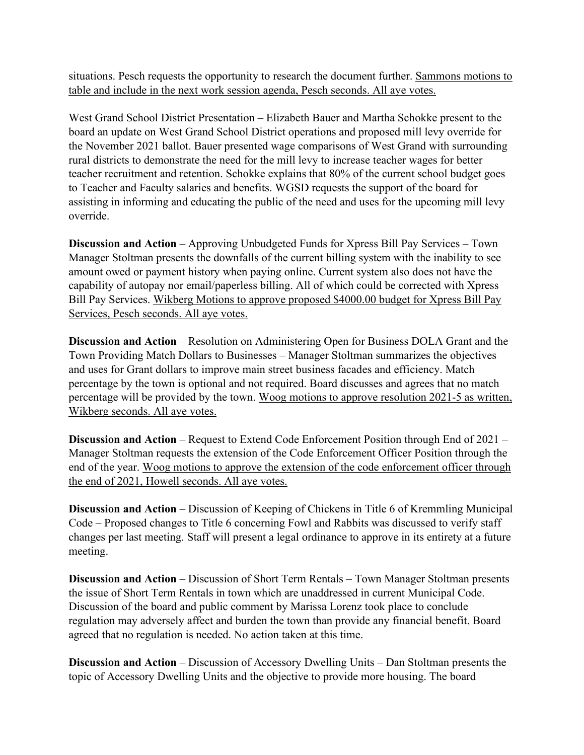situations. Pesch requests the opportunity to research the document further. Sammons motions to table and include in the next work session agenda, Pesch seconds. All aye votes.

West Grand School District Presentation – Elizabeth Bauer and Martha Schokke present to the board an update on West Grand School District operations and proposed mill levy override for the November 2021 ballot. Bauer presented wage comparisons of West Grand with surrounding rural districts to demonstrate the need for the mill levy to increase teacher wages for better teacher recruitment and retention. Schokke explains that 80% of the current school budget goes to Teacher and Faculty salaries and benefits. WGSD requests the support of the board for assisting in informing and educating the public of the need and uses for the upcoming mill levy override.

**Discussion and Action** – Approving Unbudgeted Funds for Xpress Bill Pay Services – Town Manager Stoltman presents the downfalls of the current billing system with the inability to see amount owed or payment history when paying online. Current system also does not have the capability of autopay nor email/paperless billing. All of which could be corrected with Xpress Bill Pay Services. Wikberg Motions to approve proposed \$4000.00 budget for Xpress Bill Pay Services, Pesch seconds. All aye votes.

**Discussion and Action** – Resolution on Administering Open for Business DOLA Grant and the Town Providing Match Dollars to Businesses – Manager Stoltman summarizes the objectives and uses for Grant dollars to improve main street business facades and efficiency. Match percentage by the town is optional and not required. Board discusses and agrees that no match percentage will be provided by the town. Woog motions to approve resolution 2021-5 as written, Wikberg seconds. All aye votes.

**Discussion and Action** – Request to Extend Code Enforcement Position through End of 2021 – Manager Stoltman requests the extension of the Code Enforcement Officer Position through the end of the year. Woog motions to approve the extension of the code enforcement officer through the end of 2021, Howell seconds. All aye votes.

**Discussion and Action** – Discussion of Keeping of Chickens in Title 6 of Kremmling Municipal Code – Proposed changes to Title 6 concerning Fowl and Rabbits was discussed to verify staff changes per last meeting. Staff will present a legal ordinance to approve in its entirety at a future meeting.

**Discussion and Action** – Discussion of Short Term Rentals – Town Manager Stoltman presents the issue of Short Term Rentals in town which are unaddressed in current Municipal Code. Discussion of the board and public comment by Marissa Lorenz took place to conclude regulation may adversely affect and burden the town than provide any financial benefit. Board agreed that no regulation is needed. No action taken at this time.

**Discussion and Action** – Discussion of Accessory Dwelling Units – Dan Stoltman presents the topic of Accessory Dwelling Units and the objective to provide more housing. The board